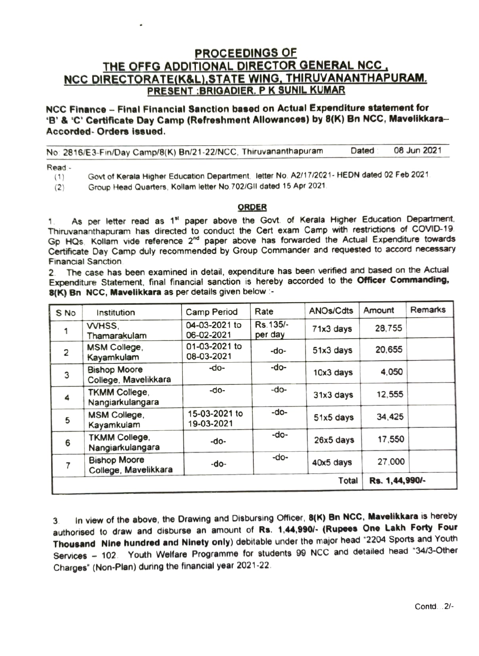## PROCEEDINGS OF THE OFFG ADDITIONAL DIRECTOR GENERAL NCC. NCC DIRECTORATE(K&L), STATE WING, THIRUVANANTHAPURAM.<br>PRESENT:BRIGADIER. P K SUNIL KUMAR

NCC Finance - Final Financial Sanction based on Actual Expenditure statement for 'B' & 'C' Certificate Day Camp (Refreshment Allowances) by 8(K) Bn NCC, Mavelikkara--Accorded-Orders issued.

No 2816/E3-Fin/Day Camp/8(K) Bn/21-22/NCC, Thiruvananthapuram Dated 08 Jun 2021

Read-

(1) Govt of Keraia Higher Education Department, letter No. A2/17/2021. HEDN dated 02 Feb 2021

(2) Group Head Quarters, Kollam letter No.702/GII dated 15 Apr 2021

## ORDER

As per letter read as 1<sup>st</sup> paper above the Govt. of Kerala Higher Education Department, Thiruvananthapuram has directed to conduct the Cert exam Camp with restrictions of COVID-19 Gp HQs. Kollam vide reference 2<sup>nd</sup> paper above has forwarded the Actual Expenditure towards Certificate Day Camp duly recommended by Group Commander and requested to accord necessary Financial Sanction.

2. The case has been examined in detail, expenditure has been verified and based on the Actual Expenditure Statement, final financial sanction is hereby accorded to the Officer Commanding, 8(K) Bn NCC, Mavelikkara as per details given below :-

| S No           | Institution                                 | Camp Period                 | Rate                 | <b>ANOs/Cdts</b> | Amount         | Remarks |
|----------------|---------------------------------------------|-----------------------------|----------------------|------------------|----------------|---------|
|                | WHSS.<br>Thamarakulam                       | 04-03-2021 to<br>06-02-2021 | Rs. 135/-<br>per day | 71x3 days        | 28,755         |         |
| $\overline{c}$ | MSM College,<br>Kayamkulam                  | 01-03-2021 to<br>08-03-2021 | -do-                 | 51x3 days        | 20,655         |         |
| 3              | <b>Bishop Moore</b><br>College, Mavelikkara | -do-                        | -do-                 | 10x3 days        | 4,050          |         |
| 4              | <b>TKMM College,</b><br>Nangiarkulangara    | -do-                        | -do-                 | 31x3 days        | 12,555         |         |
| 5              | MSM College,<br>Kayamkulam                  | 15-03-2021 to<br>19-03-2021 | -do-                 | 51x5 days        | 34,425         |         |
| 6              | <b>TKMM College,</b><br>Nangiarkulangara    | -do-                        | -do-                 | $26x5$ days      | 17,550         |         |
|                | <b>Bishop Moore</b><br>College, Mavelikkara | -do-                        | -do-                 | 40x5 days        | 27,000         |         |
| Total          |                                             |                             |                      |                  | Rs. 1,44,990/- |         |

In view of the above, the Drawing and Disbursing Officer, 8(K) Bn NCC, Mavelikkara is hereby authorised to draw and disburse an amount of Rs. 1,44,990/- (Rupees One Lakh Forty Four Thousand Nine hundred and Ninety only) debitable under the major head \*2204 Sports and Youth Services- 102. Youth Welfare Programme for students 99 NCC and detailed head "34/3-Other Charges" (Non-Plan) during the financial year 2021-22. 3.